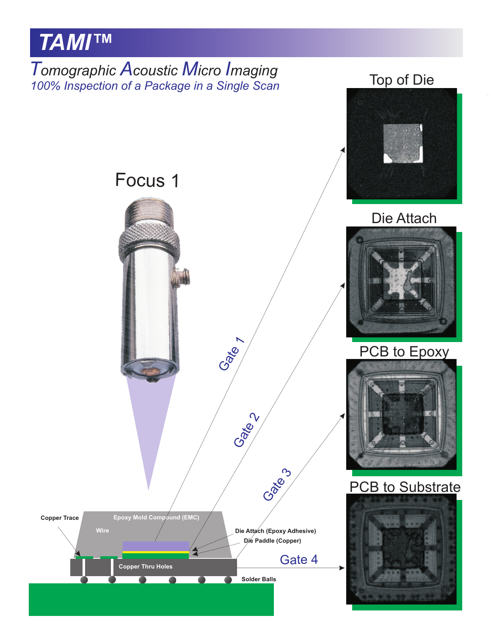# *TAMI™*